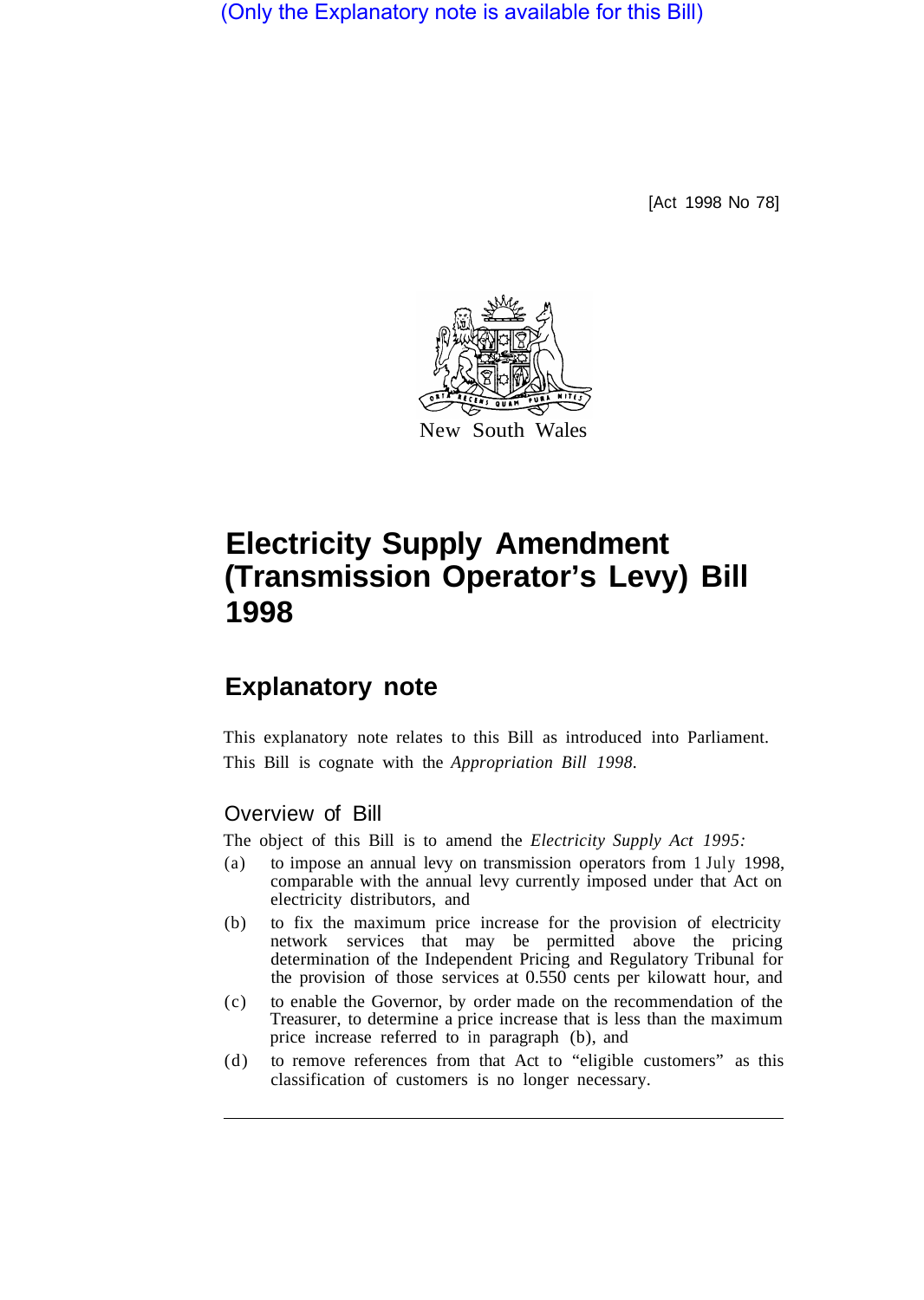(Only the Explanatory note is available for this Bill)

[Act 1998 No 78]



## **Electricity Supply Amendment (Transmission Operator's Levy) Bill 1998**

## **Explanatory note**

This explanatory note relates to this Bill as introduced into Parliament. This Bill is cognate with the *Appropriation Bill 1998.* 

## Overview of Bill

The object of this Bill is to amend the *Electricity Supply Act 1995:* 

- (a) to impose an annual levy on transmission operators from 1 July 1998, comparable with the annual levy currently imposed under that Act on electricity distributors, and
- (b) to fix the maximum price increase for the provision of electricity network services that may be permitted above the pricing determination of the Independent Pricing and Regulatory Tribunal for the provision of those services at 0.550 cents per kilowatt hour, and
- (c) to enable the Governor, by order made on the recommendation of the Treasurer, to determine a price increase that is less than the maximum price increase referred to in paragraph (b), and
- (d) to remove references from that Act to "eligible customers" as this classification of customers is no longer necessary.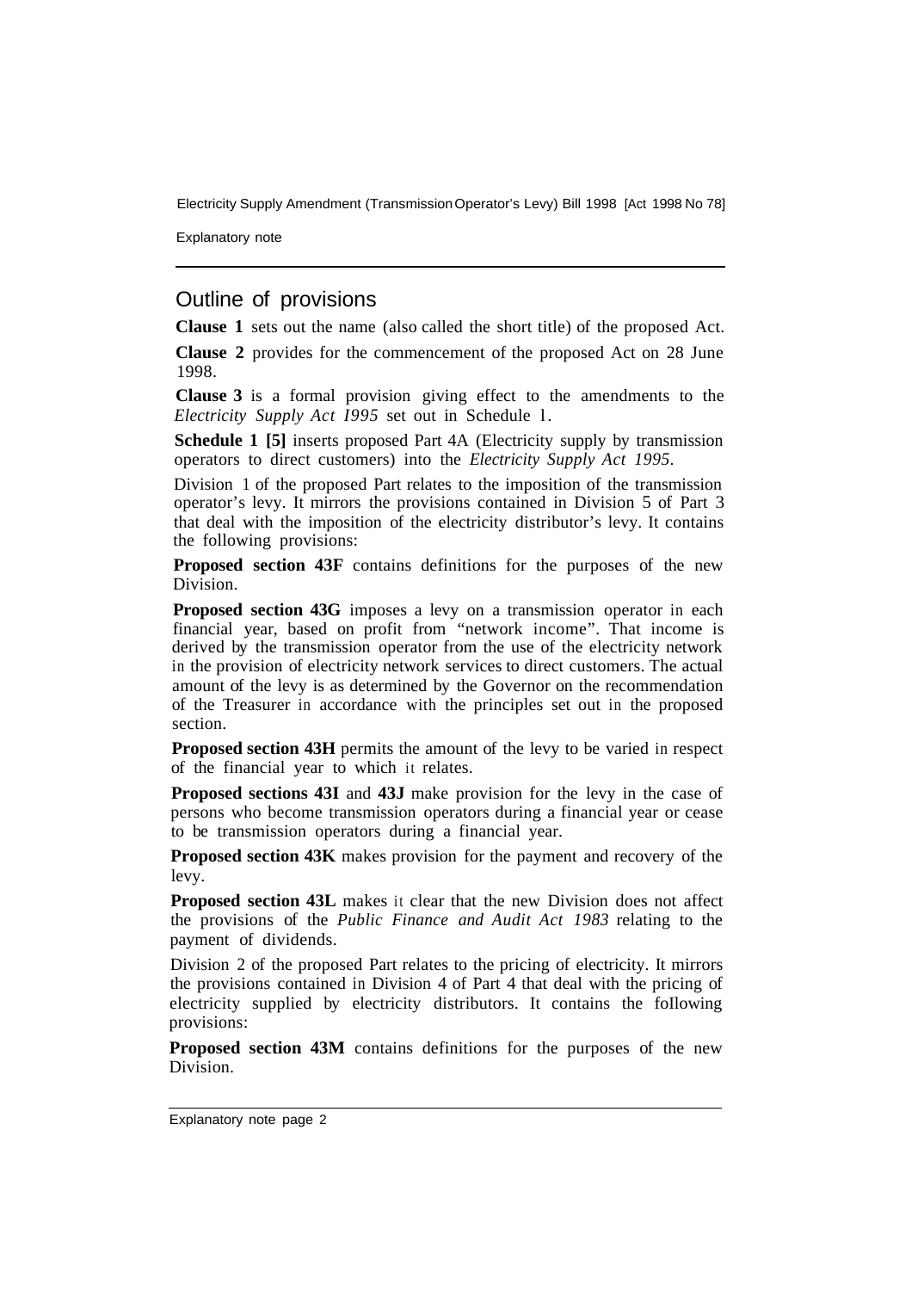Electricity Supply Amendment (Transmission Operator's Levy) Bill 1998 [Act 1998 No 78]

Explanatory note

## Outline of provisions

**Clause 1** sets out the name (also called the short title) of the proposed Act.

**Clause 2** provides for the commencement of the proposed Act on 28 June 1998.

**Clause 3** is a formal provision giving effect to the amendments to the *Electricity Supply Act I995* set out in Schedule l.

**Schedule 1 [5]** inserts proposed Part 4A (Electricity supply by transmission operators to direct customers) into the *Electricity Supply Act 1995.* 

Division 1 of the proposed Part relates to the imposition of the transmission operator's levy. It mirrors the provisions contained in Division 5 of Part 3 that deal with the imposition of the electricity distributor's levy. It contains the following provisions:

**Proposed section 43F** contains definitions for the purposes of the new Division.

**Proposed section 43G** imposes a levy on a transmission operator in each financial year, based on profit from "network income". That income is derived by the transmission operator from the use of the electricity network in the provision of electricity network services to direct customers. The actual amount of the levy is as determined by the Governor on the recommendation of the Treasurer in accordance with the principles set out in the proposed section.

**Proposed section 43H** permits the amount of the levy to be varied in respect of the financial year to which it relates.

**Proposed sections 43I** and **43J** make provision for the levy in the case of persons who become transmission operators during a financial year or cease to be transmission operators during a financial year.

**Proposed section 43K** makes provision for the payment and recovery of the levy.

**Proposed section 43L** makes it clear that the new Division does not affect the provisions of the *Public Finance and Audit Act 1983* relating to the payment of dividends.

Division 2 of the proposed Part relates to the pricing of electricity. It mirrors the provisions contained in Division 4 of Part 4 that deal with the pricing of electricity supplied by electricity distributors. It contains the foIlowing provisions:

**Proposed section 43M** contains definitions for the purposes of the new Division.